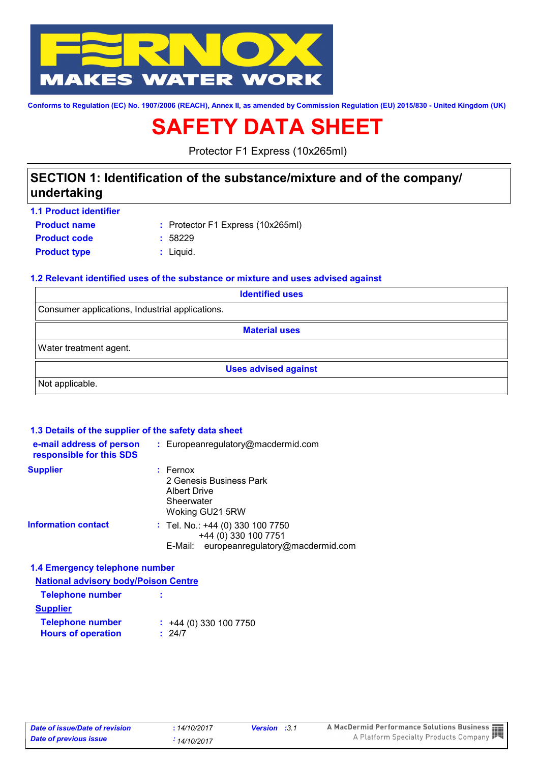

**Conforms to Regulation (EC) No. 1907/2006 (REACH), Annex II, as amended by Commission Regulation (EU) 2015/830 - United Kingdom (UK)**

# **SAFETY DATA SHEET**

Protector F1 Express (10x265ml)

# **SECTION 1: Identification of the substance/mixture and of the company/ undertaking**

- **Product name**
- Protector F1 Express (10x265ml) **:**
- **Product code :** 58229
- **Product type**  $\qquad$ **: Liquid.**

### **1.2 Relevant identified uses of the substance or mixture and uses advised against**

| <b>Identified uses</b>                          |  |
|-------------------------------------------------|--|
| Consumer applications, Industrial applications. |  |
| <b>Material uses</b>                            |  |
| Water treatment agent.                          |  |
| <b>Uses advised against</b>                     |  |
| Not applicable.                                 |  |

### **1.3 Details of the supplier of the safety data sheet**

| e-mail address of person<br>responsible for this SDS | : Europeanregulatory@macdermid.com                                                                      |  |
|------------------------------------------------------|---------------------------------------------------------------------------------------------------------|--|
| <b>Supplier</b>                                      | $:$ Fernox<br>2 Genesis Business Park<br>Albert Drive<br>Sheerwater<br>Woking GU21 5RW                  |  |
| <b>Information contact</b>                           | : Tel. No.: +44 (0) 330 100 7750<br>+44 (0) 330 100 7751<br>europeanregulatory@macdermid.com<br>E-Mail: |  |

### **1.4 Emergency telephone number**

| <b>National advisory body/Poison Centre</b> |                             |  |
|---------------------------------------------|-----------------------------|--|
| <b>Telephone number</b>                     |                             |  |
| <b>Supplier</b>                             |                             |  |
| <b>Telephone number</b>                     | $\div$ +44 (0) 330 100 7750 |  |
| <b>Hours of operation</b>                   | : 24/7                      |  |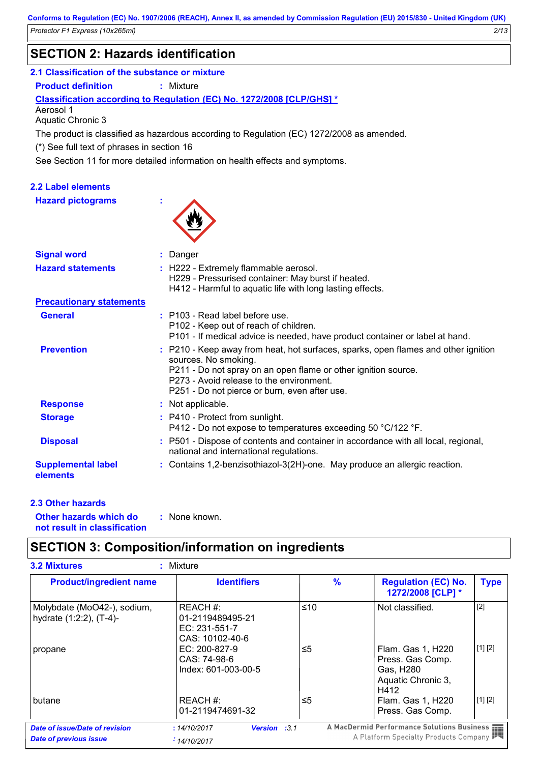# **SECTION 2: Hazards identification**

### **2.1 Classification of the substance or mixture**

**Product definition :** Mixture

### **Classification according to Regulation (EC) No. 1272/2008 [CLP/GHS] \***

Aerosol 1

Aquatic Chronic 3

The product is classified as hazardous according to Regulation (EC) 1272/2008 as amended.

(\*) See full text of phrases in section 16

See Section 11 for more detailed information on health effects and symptoms.

### **2.2 Label elements**

**Hazard pictograms :**



| <b>Signal word</b>                    | : Danger                                                                                                                                                                                                                                                                  |
|---------------------------------------|---------------------------------------------------------------------------------------------------------------------------------------------------------------------------------------------------------------------------------------------------------------------------|
| <b>Hazard statements</b>              | : H222 - Extremely flammable aerosol.<br>H229 - Pressurised container: May burst if heated.<br>H412 - Harmful to aquatic life with long lasting effects.                                                                                                                  |
| <b>Precautionary statements</b>       |                                                                                                                                                                                                                                                                           |
| <b>General</b>                        | $:$ P103 - Read label before use.<br>P102 - Keep out of reach of children.<br>P101 - If medical advice is needed, have product container or label at hand.                                                                                                                |
| <b>Prevention</b>                     | : P210 - Keep away from heat, hot surfaces, sparks, open flames and other ignition<br>sources. No smoking.<br>P211 - Do not spray on an open flame or other ignition source.<br>P273 - Avoid release to the environment.<br>P251 - Do not pierce or burn, even after use. |
| <b>Response</b>                       | : Not applicable.                                                                                                                                                                                                                                                         |
| <b>Storage</b>                        | : P410 - Protect from sunlight.<br>P412 - Do not expose to temperatures exceeding 50 °C/122 °F.                                                                                                                                                                           |
| <b>Disposal</b>                       | : P501 - Dispose of contents and container in accordance with all local, regional,<br>national and international regulations.                                                                                                                                             |
| <b>Supplemental label</b><br>elements | : Contains 1,2-benzisothiazol-3(2H)-one. May produce an allergic reaction.                                                                                                                                                                                                |

### **2.3 Other hazards**

**Other hazards which do : not result in classification** : None known.

### **SECTION 3: Composition/information on ingredients**

| <b>Product/ingredient name</b>                                  | <b>Identifiers</b>                                               | $\frac{9}{6}$ | <b>Regulation (EC) No.</b><br>1272/2008 [CLP] *                                     | <b>Type</b> |
|-----------------------------------------------------------------|------------------------------------------------------------------|---------------|-------------------------------------------------------------------------------------|-------------|
| Molybdate (MoO42-), sodium,<br>hydrate (1:2:2), (T-4)-          | REACH #:<br>01-2119489495-21<br>EC: 231-551-7<br>CAS: 10102-40-6 | ≤10           | Not classified.                                                                     | $[2]$       |
| propane                                                         | EC: 200-827-9<br>CAS: 74-98-6<br>Index: 601-003-00-5             | ≤5            | Flam. Gas 1, H220<br>Press. Gas Comp.<br>Gas, H280<br>Aquatic Chronic 3,<br>H412    | [1] [2]     |
| butane                                                          | REACH#<br>01-2119474691-32                                       | ≤5            | Flam. Gas 1, H220<br>Press. Gas Comp.                                               | [1] [2]     |
| Date of issue/Date of revision<br><b>Date of previous issue</b> | <b>Version :3.1</b><br>: 14/10/2017<br>$\div$ 14/10/2017         |               | A MacDermid Performance Solutions Business<br>A Platform Specialty Products Company |             |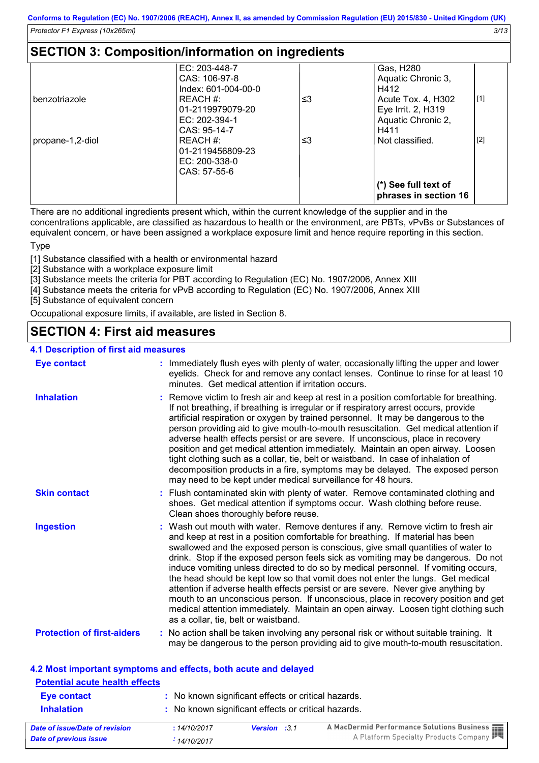# **SECTION 3: Composition/information on ingredients**

|                  | EC: $203-448-7$<br>CAS: 106-97-8<br>Index: 601-004-00-0        |    | Gas, H280<br>Aquatic Chronic 3,<br>H412                                |       |
|------------------|----------------------------------------------------------------|----|------------------------------------------------------------------------|-------|
| benzotriazole    | REACH#:<br>01-2119979079-20<br>EC: 202-394-1<br>CAS: 95-14-7   | ≤3 | Acute Tox. 4, H302<br>Eye Irrit. 2, H319<br>Aquatic Chronic 2,<br>H411 | [1]   |
| propane-1,2-diol | REACH#:<br>01-2119456809-23<br>$EC: 200-338-0$<br>CAS: 57-55-6 | ≤3 | Not classified.                                                        | $[2]$ |
|                  |                                                                |    | (*) See full text of<br>phrases in section 16                          |       |

There are no additional ingredients present which, within the current knowledge of the supplier and in the concentrations applicable, are classified as hazardous to health or the environment, are PBTs, vPvBs or Substances of equivalent concern, or have been assigned a workplace exposure limit and hence require reporting in this section.

Type

[1] Substance classified with a health or environmental hazard

[2] Substance with a workplace exposure limit

[3] Substance meets the criteria for PBT according to Regulation (EC) No. 1907/2006, Annex XIII

[4] Substance meets the criteria for vPvB according to Regulation (EC) No. 1907/2006, Annex XIII

[5] Substance of equivalent concern

Occupational exposure limits, if available, are listed in Section 8.

# **SECTION 4: First aid measures**

*Date of previous issue : 14/10/2017*

#### **4.1 Description of first aid measures**

| <b>Eye contact</b>                    | : Immediately flush eyes with plenty of water, occasionally lifting the upper and lower<br>eyelids. Check for and remove any contact lenses. Continue to rinse for at least 10<br>minutes. Get medical attention if irritation occurs.                                                                                                                                                                                                                                                                                                                                                                                                                                                                                                                                                                                       |
|---------------------------------------|------------------------------------------------------------------------------------------------------------------------------------------------------------------------------------------------------------------------------------------------------------------------------------------------------------------------------------------------------------------------------------------------------------------------------------------------------------------------------------------------------------------------------------------------------------------------------------------------------------------------------------------------------------------------------------------------------------------------------------------------------------------------------------------------------------------------------|
| <b>Inhalation</b>                     | : Remove victim to fresh air and keep at rest in a position comfortable for breathing.<br>If not breathing, if breathing is irregular or if respiratory arrest occurs, provide<br>artificial respiration or oxygen by trained personnel. It may be dangerous to the<br>person providing aid to give mouth-to-mouth resuscitation. Get medical attention if<br>adverse health effects persist or are severe. If unconscious, place in recovery<br>position and get medical attention immediately. Maintain an open airway. Loosen<br>tight clothing such as a collar, tie, belt or waistband. In case of inhalation of<br>decomposition products in a fire, symptoms may be delayed. The exposed person<br>may need to be kept under medical surveillance for 48 hours.                                                       |
| <b>Skin contact</b>                   | : Flush contaminated skin with plenty of water. Remove contaminated clothing and<br>shoes. Get medical attention if symptoms occur. Wash clothing before reuse.<br>Clean shoes thoroughly before reuse.                                                                                                                                                                                                                                                                                                                                                                                                                                                                                                                                                                                                                      |
| <b>Ingestion</b>                      | : Wash out mouth with water. Remove dentures if any. Remove victim to fresh air<br>and keep at rest in a position comfortable for breathing. If material has been<br>swallowed and the exposed person is conscious, give small quantities of water to<br>drink. Stop if the exposed person feels sick as vomiting may be dangerous. Do not<br>induce vomiting unless directed to do so by medical personnel. If vomiting occurs,<br>the head should be kept low so that vomit does not enter the lungs. Get medical<br>attention if adverse health effects persist or are severe. Never give anything by<br>mouth to an unconscious person. If unconscious, place in recovery position and get<br>medical attention immediately. Maintain an open airway. Loosen tight clothing such<br>as a collar, tie, belt or waistband. |
| <b>Protection of first-aiders</b>     | : No action shall be taken involving any personal risk or without suitable training. It<br>may be dangerous to the person providing aid to give mouth-to-mouth resuscitation.                                                                                                                                                                                                                                                                                                                                                                                                                                                                                                                                                                                                                                                |
|                                       | 4.2 Most important symptoms and effects, both acute and delayed                                                                                                                                                                                                                                                                                                                                                                                                                                                                                                                                                                                                                                                                                                                                                              |
| <b>Potential acute health effects</b> |                                                                                                                                                                                                                                                                                                                                                                                                                                                                                                                                                                                                                                                                                                                                                                                                                              |
| <b>Eye contact</b>                    | : No known significant effects or critical hazards.                                                                                                                                                                                                                                                                                                                                                                                                                                                                                                                                                                                                                                                                                                                                                                          |
| <b>Inhalation</b>                     | : No known significant effects or critical hazards.                                                                                                                                                                                                                                                                                                                                                                                                                                                                                                                                                                                                                                                                                                                                                                          |
| <b>Date of issue/Date of revision</b> | A MacDermid Performance Solutions Business<br>: 14/10/2017<br>Version :3.1                                                                                                                                                                                                                                                                                                                                                                                                                                                                                                                                                                                                                                                                                                                                                   |

A Platform Specialty Products Company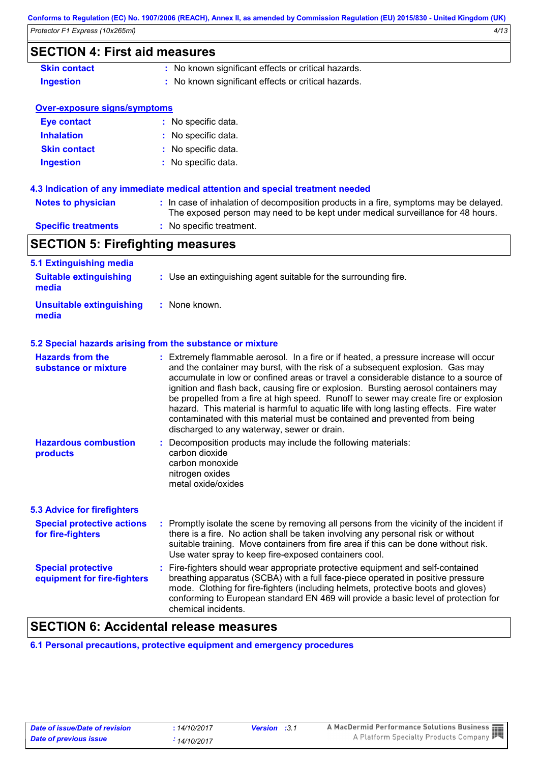|  | <b>SECTION 4: First aid measures</b> |  |
|--|--------------------------------------|--|
|--|--------------------------------------|--|

| <b>Skin contact</b> | : No known significant effects or critical hazards. |
|---------------------|-----------------------------------------------------|
| <b>Ingestion</b>    | : No known significant effects or critical hazards. |

| <b>Over-exposure signs/symptoms</b> |
|-------------------------------------|
|-------------------------------------|

| Eye contact         | : No specific data. |
|---------------------|---------------------|
| <b>Inhalation</b>   | : No specific data. |
| <b>Skin contact</b> | : No specific data. |
| <b>Ingestion</b>    | : No specific data. |

### **4.3 Indication of any immediate medical attention and special treatment needed**

| Notes to physician         | : In case of inhalation of decomposition products in a fire, symptoms may be delayed.<br>The exposed person may need to be kept under medical surveillance for 48 hours. |
|----------------------------|--------------------------------------------------------------------------------------------------------------------------------------------------------------------------|
| <b>Specific treatments</b> | : No specific treatment.                                                                                                                                                 |

# **SECTION 5: Firefighting measures**

| 5.1 Extinguishing media                                  |                                                                                                                                                                                                                                                                                                                                                                                                                                                                                                                                                                                                                                                                      |
|----------------------------------------------------------|----------------------------------------------------------------------------------------------------------------------------------------------------------------------------------------------------------------------------------------------------------------------------------------------------------------------------------------------------------------------------------------------------------------------------------------------------------------------------------------------------------------------------------------------------------------------------------------------------------------------------------------------------------------------|
| <b>Suitable extinguishing</b><br>media                   | : Use an extinguishing agent suitable for the surrounding fire.                                                                                                                                                                                                                                                                                                                                                                                                                                                                                                                                                                                                      |
| <b>Unsuitable extinguishing</b><br>media                 | : None known.                                                                                                                                                                                                                                                                                                                                                                                                                                                                                                                                                                                                                                                        |
|                                                          | 5.2 Special hazards arising from the substance or mixture                                                                                                                                                                                                                                                                                                                                                                                                                                                                                                                                                                                                            |
| <b>Hazards from the</b><br>substance or mixture          | : Extremely flammable aerosol. In a fire or if heated, a pressure increase will occur<br>and the container may burst, with the risk of a subsequent explosion. Gas may<br>accumulate in low or confined areas or travel a considerable distance to a source of<br>ignition and flash back, causing fire or explosion. Bursting aerosol containers may<br>be propelled from a fire at high speed. Runoff to sewer may create fire or explosion<br>hazard. This material is harmful to aquatic life with long lasting effects. Fire water<br>contaminated with this material must be contained and prevented from being<br>discharged to any waterway, sewer or drain. |
| <b>Hazardous combustion</b><br>products                  | Decomposition products may include the following materials:<br>carbon dioxide<br>carbon monoxide<br>nitrogen oxides<br>metal oxide/oxides                                                                                                                                                                                                                                                                                                                                                                                                                                                                                                                            |
| <b>5.3 Advice for firefighters</b>                       |                                                                                                                                                                                                                                                                                                                                                                                                                                                                                                                                                                                                                                                                      |
| <b>Special protective actions</b><br>for fire-fighters   | : Promptly isolate the scene by removing all persons from the vicinity of the incident if<br>there is a fire. No action shall be taken involving any personal risk or without<br>suitable training. Move containers from fire area if this can be done without risk.<br>Use water spray to keep fire-exposed containers cool.                                                                                                                                                                                                                                                                                                                                        |
| <b>Special protective</b><br>equipment for fire-fighters | : Fire-fighters should wear appropriate protective equipment and self-contained<br>breathing apparatus (SCBA) with a full face-piece operated in positive pressure<br>mode. Clothing for fire-fighters (including helmets, protective boots and gloves)<br>conforming to European standard EN 469 will provide a basic level of protection for<br>chemical incidents.                                                                                                                                                                                                                                                                                                |

# **SECTION 6: Accidental release measures**

**6.1 Personal precautions, protective equipment and emergency procedures**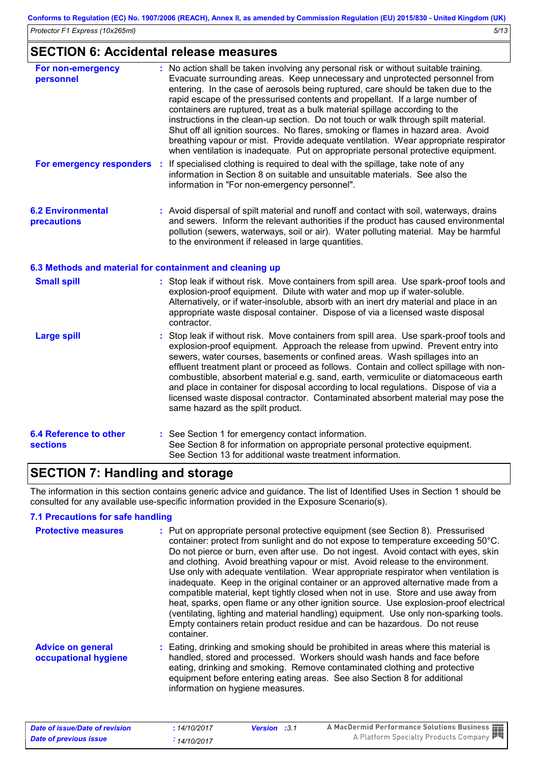# **SECTION 6: Accidental release measures**

| For non-emergency<br>personnel          | : No action shall be taken involving any personal risk or without suitable training.<br>Evacuate surrounding areas. Keep unnecessary and unprotected personnel from<br>entering. In the case of aerosols being ruptured, care should be taken due to the<br>rapid escape of the pressurised contents and propellant. If a large number of<br>containers are ruptured, treat as a bulk material spillage according to the<br>instructions in the clean-up section. Do not touch or walk through spilt material.<br>Shut off all ignition sources. No flares, smoking or flames in hazard area. Avoid<br>breathing vapour or mist. Provide adequate ventilation. Wear appropriate respirator<br>when ventilation is inadequate. Put on appropriate personal protective equipment. |
|-----------------------------------------|---------------------------------------------------------------------------------------------------------------------------------------------------------------------------------------------------------------------------------------------------------------------------------------------------------------------------------------------------------------------------------------------------------------------------------------------------------------------------------------------------------------------------------------------------------------------------------------------------------------------------------------------------------------------------------------------------------------------------------------------------------------------------------|
| For emergency responders :              | If specialised clothing is required to deal with the spillage, take note of any<br>information in Section 8 on suitable and unsuitable materials. See also the<br>information in "For non-emergency personnel".                                                                                                                                                                                                                                                                                                                                                                                                                                                                                                                                                                 |
| <b>6.2 Environmental</b><br>precautions | : Avoid dispersal of spilt material and runoff and contact with soil, waterways, drains<br>and sewers. Inform the relevant authorities if the product has caused environmental<br>pollution (sewers, waterways, soil or air). Water polluting material. May be harmful<br>to the environment if released in large quantities.                                                                                                                                                                                                                                                                                                                                                                                                                                                   |
|                                         | 6.3 Methods and material for containment and cleaning up                                                                                                                                                                                                                                                                                                                                                                                                                                                                                                                                                                                                                                                                                                                        |
| <b>Small spill</b>                      | : Stop leak if without risk. Move containers from spill area. Use spark-proof tools and                                                                                                                                                                                                                                                                                                                                                                                                                                                                                                                                                                                                                                                                                         |

| <b>Small spill</b> | : Stop leak if without risk. Move containers from spill area. Use spark-proc |
|--------------------|------------------------------------------------------------------------------|
|                    | explosion-proof equipment. Dilute with water and mon up if water-soluble     |

|                                                  | <u>Explosion-proof equipment. Dilute with water and mop up in water-soluble.</u><br>Alternatively, or if water-insoluble, absorb with an inert dry material and place in an<br>appropriate waste disposal container. Dispose of via a licensed waste disposal<br>contractor.                                                                                                                                                                                                                                                                                                                                                                               |
|--------------------------------------------------|------------------------------------------------------------------------------------------------------------------------------------------------------------------------------------------------------------------------------------------------------------------------------------------------------------------------------------------------------------------------------------------------------------------------------------------------------------------------------------------------------------------------------------------------------------------------------------------------------------------------------------------------------------|
| <b>Large spill</b>                               | : Stop leak if without risk. Move containers from spill area. Use spark-proof tools and<br>explosion-proof equipment. Approach the release from upwind. Prevent entry into<br>sewers, water courses, basements or confined areas. Wash spillages into an<br>effluent treatment plant or proceed as follows. Contain and collect spillage with non-<br>combustible, absorbent material e.g. sand, earth, vermiculite or diatomaceous earth<br>and place in container for disposal according to local regulations. Dispose of via a<br>licensed waste disposal contractor. Contaminated absorbent material may pose the<br>same hazard as the spilt product. |
| <b>6.4 Reference to other</b><br><b>sections</b> | : See Section 1 for emergency contact information.<br>See Section 8 for information on appropriate personal protective equipment.                                                                                                                                                                                                                                                                                                                                                                                                                                                                                                                          |

# See Section 13 for additional waste treatment information.

# **SECTION 7: Handling and storage**

The information in this section contains generic advice and guidance. The list of Identified Uses in Section 1 should be consulted for any available use-specific information provided in the Exposure Scenario(s).

### **7.1 Precautions for safe handling**

| <b>Protective measures</b>                       | : Put on appropriate personal protective equipment (see Section 8). Pressurised<br>container: protect from sunlight and do not expose to temperature exceeding 50°C.<br>Do not pierce or burn, even after use. Do not ingest. Avoid contact with eyes, skin<br>and clothing. Avoid breathing vapour or mist. Avoid release to the environment.<br>Use only with adequate ventilation. Wear appropriate respirator when ventilation is<br>inadequate. Keep in the original container or an approved alternative made from a<br>compatible material, kept tightly closed when not in use. Store and use away from<br>heat, sparks, open flame or any other ignition source. Use explosion-proof electrical<br>(ventilating, lighting and material handling) equipment. Use only non-sparking tools.<br>Empty containers retain product residue and can be hazardous. Do not reuse<br>container. |
|--------------------------------------------------|-----------------------------------------------------------------------------------------------------------------------------------------------------------------------------------------------------------------------------------------------------------------------------------------------------------------------------------------------------------------------------------------------------------------------------------------------------------------------------------------------------------------------------------------------------------------------------------------------------------------------------------------------------------------------------------------------------------------------------------------------------------------------------------------------------------------------------------------------------------------------------------------------|
| <b>Advice on general</b><br>occupational hygiene | : Eating, drinking and smoking should be prohibited in areas where this material is<br>handled, stored and processed. Workers should wash hands and face before<br>eating, drinking and smoking. Remove contaminated clothing and protective<br>equipment before entering eating areas. See also Section 8 for additional<br>information on hygiene measures.                                                                                                                                                                                                                                                                                                                                                                                                                                                                                                                                 |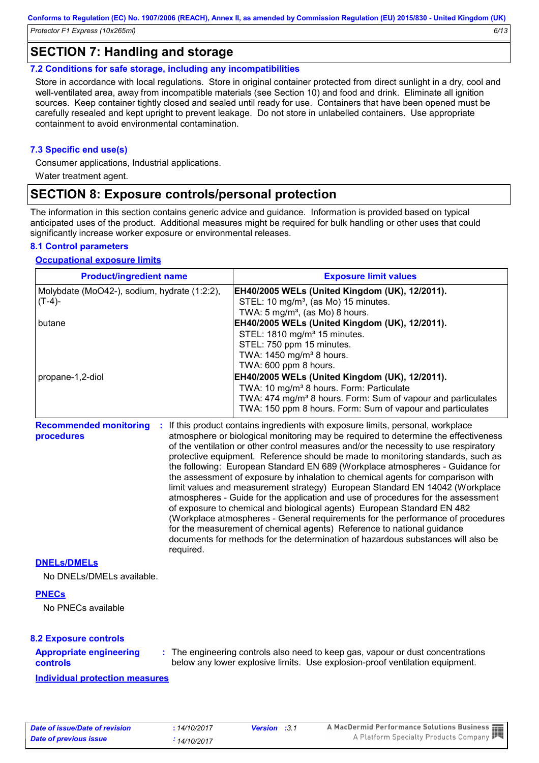# **SECTION 7: Handling and storage**

### **7.2 Conditions for safe storage, including any incompatibilities**

Store in accordance with local regulations. Store in original container protected from direct sunlight in a dry, cool and well-ventilated area, away from incompatible materials (see Section 10) and food and drink. Eliminate all ignition sources. Keep container tightly closed and sealed until ready for use. Containers that have been opened must be carefully resealed and kept upright to prevent leakage. Do not store in unlabelled containers. Use appropriate containment to avoid environmental contamination.

### **7.3 Specific end use(s)**

Consumer applications, Industrial applications.

Water treatment agent.

### **SECTION 8: Exposure controls/personal protection**

The information in this section contains generic advice and guidance. Information is provided based on typical anticipated uses of the product. Additional measures might be required for bulk handling or other uses that could significantly increase worker exposure or environmental releases.

### **8.1 Control parameters**

### **Occupational exposure limits**

| <b>Product/ingredient name</b>                            | <b>Exposure limit values</b>                                                                                                                                                                                                                                                                                                                                                                                                                                                                                                                                                                                                                                                                                                                                                                                                                                                                                                                                                                                          |
|-----------------------------------------------------------|-----------------------------------------------------------------------------------------------------------------------------------------------------------------------------------------------------------------------------------------------------------------------------------------------------------------------------------------------------------------------------------------------------------------------------------------------------------------------------------------------------------------------------------------------------------------------------------------------------------------------------------------------------------------------------------------------------------------------------------------------------------------------------------------------------------------------------------------------------------------------------------------------------------------------------------------------------------------------------------------------------------------------|
| Molybdate (MoO42-), sodium, hydrate (1:2:2),<br>$(T-4)$ - | EH40/2005 WELs (United Kingdom (UK), 12/2011).<br>STEL: 10 mg/m <sup>3</sup> , (as Mo) 15 minutes.<br>TWA: 5 mg/m <sup>3</sup> , (as Mo) 8 hours.                                                                                                                                                                                                                                                                                                                                                                                                                                                                                                                                                                                                                                                                                                                                                                                                                                                                     |
| butane                                                    | EH40/2005 WELs (United Kingdom (UK), 12/2011).<br>STEL: 1810 mg/m <sup>3</sup> 15 minutes.<br>STEL: 750 ppm 15 minutes.<br>TWA: 1450 mg/m <sup>3</sup> 8 hours.<br>TWA: 600 ppm 8 hours.                                                                                                                                                                                                                                                                                                                                                                                                                                                                                                                                                                                                                                                                                                                                                                                                                              |
| propane-1,2-diol                                          | EH40/2005 WELs (United Kingdom (UK), 12/2011).<br>TWA: 10 mg/m <sup>3</sup> 8 hours. Form: Particulate<br>TWA: 474 mg/m <sup>3</sup> 8 hours. Form: Sum of vapour and particulates<br>TWA: 150 ppm 8 hours. Form: Sum of vapour and particulates                                                                                                                                                                                                                                                                                                                                                                                                                                                                                                                                                                                                                                                                                                                                                                      |
| <b>Recommended monitoring</b><br>procedures<br>required.  | : If this product contains ingredients with exposure limits, personal, workplace<br>atmosphere or biological monitoring may be required to determine the effectiveness<br>of the ventilation or other control measures and/or the necessity to use respiratory<br>protective equipment. Reference should be made to monitoring standards, such as<br>the following: European Standard EN 689 (Workplace atmospheres - Guidance for<br>the assessment of exposure by inhalation to chemical agents for comparison with<br>limit values and measurement strategy) European Standard EN 14042 (Workplace<br>atmospheres - Guide for the application and use of procedures for the assessment<br>of exposure to chemical and biological agents) European Standard EN 482<br>(Workplace atmospheres - General requirements for the performance of procedures<br>for the measurement of chemical agents) Reference to national guidance<br>documents for methods for the determination of hazardous substances will also be |
| <b>DNELS/DMELS</b>                                        |                                                                                                                                                                                                                                                                                                                                                                                                                                                                                                                                                                                                                                                                                                                                                                                                                                                                                                                                                                                                                       |
| No DNELs/DMELs available.                                 |                                                                                                                                                                                                                                                                                                                                                                                                                                                                                                                                                                                                                                                                                                                                                                                                                                                                                                                                                                                                                       |

### **PNECs**

No PNECs available

### **8.2 Exposure controls**

#### **Appropriate engineering controls**

**:** The engineering controls also need to keep gas, vapour or dust concentrations below any lower explosive limits. Use explosion-proof ventilation equipment.

**Individual protection measures**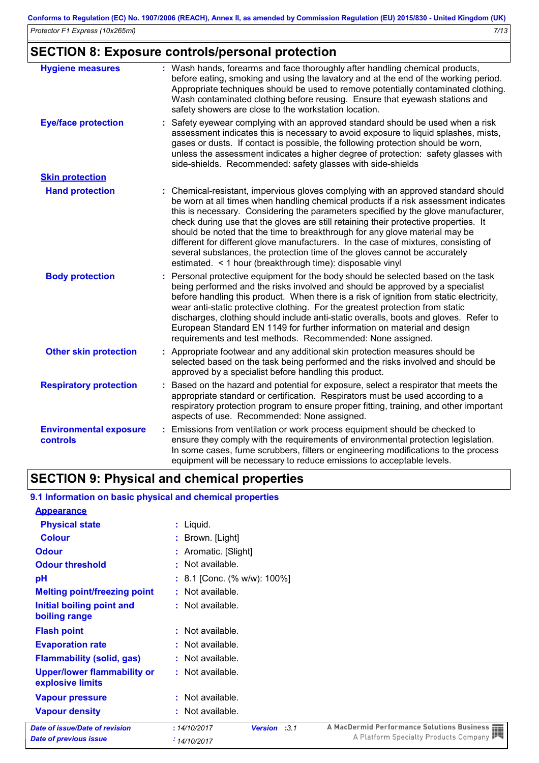# **SECTION 8: Exposure controls/personal protection**

| <b>Hygiene measures</b>                   | : Wash hands, forearms and face thoroughly after handling chemical products,<br>before eating, smoking and using the lavatory and at the end of the working period.<br>Appropriate techniques should be used to remove potentially contaminated clothing.<br>Wash contaminated clothing before reusing. Ensure that eyewash stations and<br>safety showers are close to the workstation location.                                                                                                                                                                                                                                                                      |  |  |  |
|-------------------------------------------|------------------------------------------------------------------------------------------------------------------------------------------------------------------------------------------------------------------------------------------------------------------------------------------------------------------------------------------------------------------------------------------------------------------------------------------------------------------------------------------------------------------------------------------------------------------------------------------------------------------------------------------------------------------------|--|--|--|
| <b>Eye/face protection</b>                | Safety eyewear complying with an approved standard should be used when a risk<br>t.<br>assessment indicates this is necessary to avoid exposure to liquid splashes, mists,<br>gases or dusts. If contact is possible, the following protection should be worn,<br>unless the assessment indicates a higher degree of protection: safety glasses with<br>side-shields. Recommended: safety glasses with side-shields                                                                                                                                                                                                                                                    |  |  |  |
| <b>Skin protection</b>                    |                                                                                                                                                                                                                                                                                                                                                                                                                                                                                                                                                                                                                                                                        |  |  |  |
| <b>Hand protection</b>                    | Chemical-resistant, impervious gloves complying with an approved standard should<br>be worn at all times when handling chemical products if a risk assessment indicates<br>this is necessary. Considering the parameters specified by the glove manufacturer,<br>check during use that the gloves are still retaining their protective properties. It<br>should be noted that the time to breakthrough for any glove material may be<br>different for different glove manufacturers. In the case of mixtures, consisting of<br>several substances, the protection time of the gloves cannot be accurately<br>estimated. < 1 hour (breakthrough time): disposable vinyl |  |  |  |
| <b>Body protection</b>                    | Personal protective equipment for the body should be selected based on the task<br>being performed and the risks involved and should be approved by a specialist<br>before handling this product. When there is a risk of ignition from static electricity,<br>wear anti-static protective clothing. For the greatest protection from static<br>discharges, clothing should include anti-static overalls, boots and gloves. Refer to<br>European Standard EN 1149 for further information on material and design<br>requirements and test methods. Recommended: None assigned.                                                                                         |  |  |  |
| <b>Other skin protection</b>              | : Appropriate footwear and any additional skin protection measures should be<br>selected based on the task being performed and the risks involved and should be<br>approved by a specialist before handling this product.                                                                                                                                                                                                                                                                                                                                                                                                                                              |  |  |  |
| <b>Respiratory protection</b>             | Based on the hazard and potential for exposure, select a respirator that meets the<br>appropriate standard or certification. Respirators must be used according to a<br>respiratory protection program to ensure proper fitting, training, and other important<br>aspects of use. Recommended: None assigned.                                                                                                                                                                                                                                                                                                                                                          |  |  |  |
| <b>Environmental exposure</b><br>controls | Emissions from ventilation or work process equipment should be checked to<br>ensure they comply with the requirements of environmental protection legislation.<br>In some cases, fume scrubbers, filters or engineering modifications to the process<br>equipment will be necessary to reduce emissions to acceptable levels.                                                                                                                                                                                                                                                                                                                                          |  |  |  |

# **SECTION 9: Physical and chemical properties**

### **9.1 Information on basic physical and chemical properties**

| <b>Appearance</b>                                      |                               |      |
|--------------------------------------------------------|-------------------------------|------|
| <b>Physical state</b>                                  | $:$ Liquid.                   |      |
| <b>Colour</b>                                          | : Brown. [Light]              |      |
| <b>Odour</b>                                           | : Aromatic. [Slight]          |      |
| <b>Odour threshold</b>                                 | : Not available.              |      |
| рH                                                     | $: 8.1$ [Conc. (% w/w): 100%] |      |
| <b>Melting point/freezing point</b>                    | Not available.                |      |
| Initial boiling point and<br>boiling range             | $:$ Not available.            |      |
| <b>Flash point</b>                                     | $:$ Not available.            |      |
| <b>Evaporation rate</b>                                | $:$ Not available.            |      |
| <b>Flammability (solid, gas)</b>                       | $:$ Not available.            |      |
| <b>Upper/lower flammability or</b><br>explosive limits | $:$ Not available.            |      |
| <b>Vapour pressure</b>                                 | $:$ Not available.            |      |
| <b>Vapour density</b>                                  | $:$ Not available.            |      |
| Date of issue/Date of revision                         | Version :3.1<br>: 14/10/2017  | A Ma |
| <b>Date of previous issue</b>                          | $\frac{1}{2}$ 14/10/2017      |      |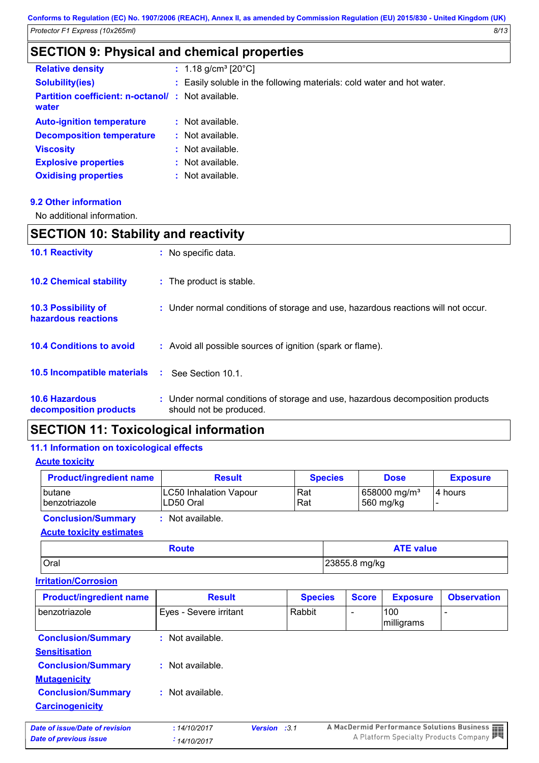# **SECTION 9: Physical and chemical properties**

| <b>Relative density</b>                                           | : $1.18$ g/cm <sup>3</sup> [20 $^{\circ}$ C]                           |
|-------------------------------------------------------------------|------------------------------------------------------------------------|
| <b>Solubility(ies)</b>                                            | : Easily soluble in the following materials: cold water and hot water. |
| <b>Partition coefficient: n-octanol/: Not available.</b><br>water |                                                                        |
| <b>Auto-ignition temperature</b>                                  | $:$ Not available.                                                     |
| <b>Decomposition temperature</b>                                  | $:$ Not available.                                                     |
| <b>Viscosity</b>                                                  | $:$ Not available.                                                     |
| <b>Explosive properties</b>                                       | $:$ Not available.                                                     |
| <b>Oxidising properties</b>                                       | $:$ Not available.                                                     |

### **9.2 Other information**

No additional information.

# **SECTION 10: Stability and reactivity**

| <b>10.1 Reactivity</b>                            | : No specific data.                                                                                       |
|---------------------------------------------------|-----------------------------------------------------------------------------------------------------------|
| <b>10.2 Chemical stability</b>                    | : The product is stable.                                                                                  |
| <b>10.3 Possibility of</b><br>hazardous reactions | : Under normal conditions of storage and use, hazardous reactions will not occur.                         |
| <b>10.4 Conditions to avoid</b>                   | : Avoid all possible sources of ignition (spark or flame).                                                |
| <b>10.5 Incompatible materials</b>                | See Section 10.1.<br>÷                                                                                    |
| <b>10.6 Hazardous</b><br>decomposition products   | : Under normal conditions of storage and use, hazardous decomposition products<br>should not be produced. |

### **SECTION 11: Toxicological information**

### **11.1 Information on toxicological effects**

**Acute toxicity**

| <b>Product/ingredient name</b> | <b>Result</b>                              | <b>Species</b> | <b>Dose</b>                           | <b>Exposure</b> |
|--------------------------------|--------------------------------------------|----------------|---------------------------------------|-----------------|
| butane<br>l benzotriazole      | <b>LC50 Inhalation Vapour</b><br>LD50 Oral | Rat<br>Rat     | 658000 mg/m <sup>3</sup><br>560 mg/kg | 4 hours         |
| <b>Conclusion/Summary</b>      | Not available.                             |                |                                       |                 |

**Acute toxicity estimates**

| Route | <b>ATE value</b> |
|-------|------------------|
| Oral  | 23855.8 mg/kg    |

### **Irritation/Corrosion**

| <b>Product/ingredient name</b> | <b>Result</b>               | <b>Species</b>         | <b>Score</b> | <b>Exposure</b>   | <b>Observation</b>                         |
|--------------------------------|-----------------------------|------------------------|--------------|-------------------|--------------------------------------------|
| benzotriazole                  | Eyes - Severe irritant      | Rabbit                 |              | 100<br>milligrams |                                            |
| <b>Conclusion/Summary</b>      | : Not available.            |                        |              |                   |                                            |
| <b>Sensitisation</b>           |                             |                        |              |                   |                                            |
| <b>Conclusion/Summary</b>      | $\therefore$ Not available. |                        |              |                   |                                            |
| <b>Mutagenicity</b>            |                             |                        |              |                   |                                            |
| <b>Conclusion/Summary</b>      | : Not available.            |                        |              |                   |                                            |
| <b>Carcinogenicity</b>         |                             |                        |              |                   |                                            |
| Date of issue/Date of revision | : 14/10/2017                | <b>Version</b><br>:3.1 |              |                   | A MacDermid Performance Solutions Business |
| <b>Date of previous issue</b>  | $\div$ 14/10/2017           |                        |              |                   | A Platform Specialty Products Company      |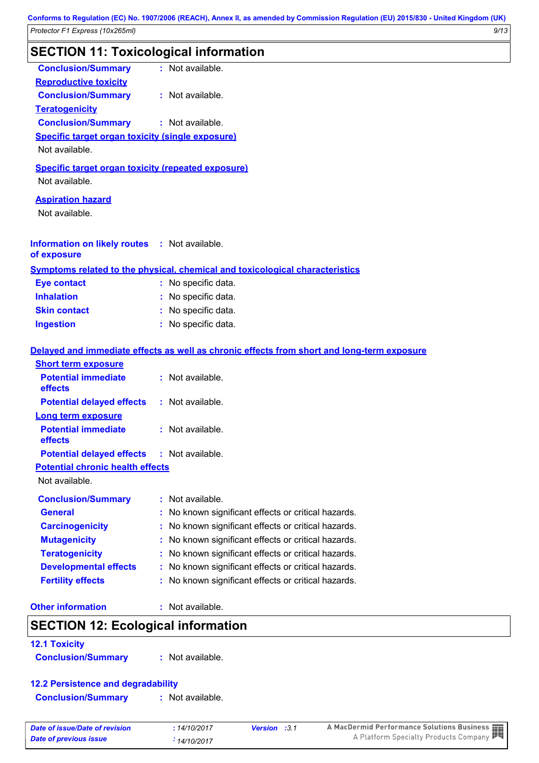| <b>SECTION 11: Toxicological information</b>              |                                                                                            |
|-----------------------------------------------------------|--------------------------------------------------------------------------------------------|
| <b>Conclusion/Summary</b>                                 | : Not available.                                                                           |
| <b>Reproductive toxicity</b>                              |                                                                                            |
| <b>Conclusion/Summary</b>                                 | : Not available.                                                                           |
| <b>Teratogenicity</b>                                     |                                                                                            |
| <b>Conclusion/Summary</b>                                 | : Not available.                                                                           |
| Specific target organ toxicity (single exposure)          |                                                                                            |
| Not available.                                            |                                                                                            |
| <b>Specific target organ toxicity (repeated exposure)</b> |                                                                                            |
| Not available.                                            |                                                                                            |
| <b>Aspiration hazard</b>                                  |                                                                                            |
| Not available.                                            |                                                                                            |
|                                                           |                                                                                            |
| <b>Information on likely routes : Not available.</b>      |                                                                                            |
| of exposure                                               |                                                                                            |
|                                                           | <b>Symptoms related to the physical, chemical and toxicological characteristics</b>        |
| <b>Eye contact</b>                                        | : No specific data.                                                                        |
| <b>Inhalation</b>                                         | : No specific data.                                                                        |
| <b>Skin contact</b>                                       | : No specific data.                                                                        |
| <b>Ingestion</b>                                          | : No specific data.                                                                        |
|                                                           | Delayed and immediate effects as well as chronic effects from short and long-term exposure |
| <b>Short term exposure</b>                                |                                                                                            |
| <b>Potential immediate</b>                                | : Not available.                                                                           |
| effects                                                   |                                                                                            |
| <b>Potential delayed effects</b>                          | : Not available.                                                                           |
| <b>Long term exposure</b>                                 |                                                                                            |
| <b>Potential immediate</b>                                | : Not available.                                                                           |
| effects                                                   |                                                                                            |
| <b>Potential delayed effects</b>                          | : Not available.                                                                           |
| <b>Potential chronic health effects</b>                   |                                                                                            |
| Not available.                                            |                                                                                            |
| <b>Conclusion/Summary</b>                                 | : Not available.                                                                           |
| <b>General</b>                                            | No known significant effects or critical hazards.                                          |
| <b>Carcinogenicity</b>                                    | : No known significant effects or critical hazards.                                        |
| <b>Mutagenicity</b>                                       | No known significant effects or critical hazards.                                          |
| <b>Teratogenicity</b>                                     | : No known significant effects or critical hazards.                                        |
| <b>Developmental effects</b>                              | No known significant effects or critical hazards.                                          |
| <b>Fertility effects</b>                                  | : No known significant effects or critical hazards.                                        |
| <b>Other information</b>                                  | : Not available.                                                                           |
| <b>SECTION 12: Ecological information</b>                 |                                                                                            |
| <b>12.1 Toxicity</b>                                      |                                                                                            |
| <b>Conclusion/Summary</b>                                 | : Not available.                                                                           |
|                                                           |                                                                                            |

**Conclusion/Summary :** Not available.

*Date of issue/Date of revision* **:** *14/10/2017 Date of previous issue : 14/10/2017* *Version :3.1*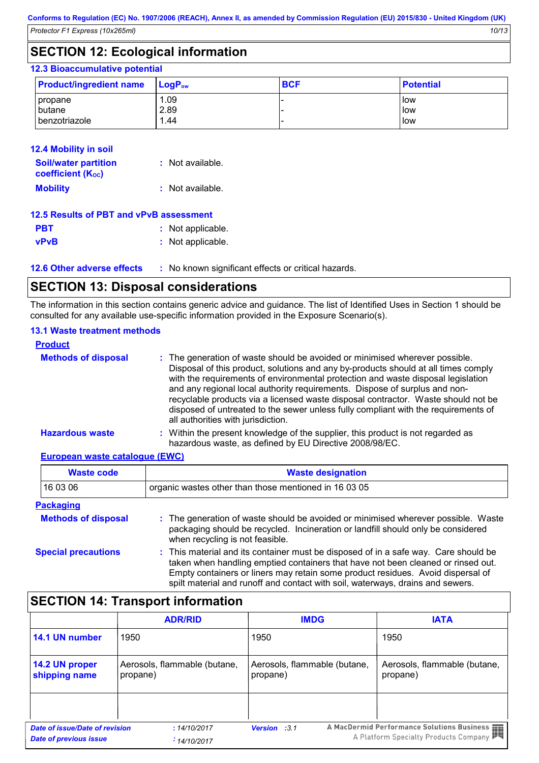# **SECTION 12: Ecological information**

### **12.3 Bioaccumulative potential**

| <b>Product/ingredient name</b> | $LogP_{ow}$ | <b>BCF</b> | <b>Potential</b> |
|--------------------------------|-------------|------------|------------------|
| propane                        | . 09        |            | llow             |
| butane                         | 2.89        |            | low              |
| benzotriazole                  | . 44        |            | low              |

| <b>12.4 Mobility in soil</b>                            |                  |
|---------------------------------------------------------|------------------|
| <b>Soil/water partition</b><br><b>coefficient (Koc)</b> | : Not available. |
| <b>Mobility</b>                                         | : Not available. |
| <b>12.5 Results of PBT and vPvB assessment</b>          |                  |
|                                                         | ملطمم الممرط ملل |

| <b>PBT</b>  | : Not applicable. |
|-------------|-------------------|
| <b>vPvB</b> | : Not applicable. |

**12.6 Other adverse effects** : No known significant effects or critical hazards.

### **SECTION 13: Disposal considerations**

The information in this section contains generic advice and guidance. The list of Identified Uses in Section 1 should be consulted for any available use-specific information provided in the Exposure Scenario(s).

#### **13.1 Waste treatment methods**

| <b>Product</b>             |                                                                                                                                                                                                                                                                                                                                                                                                                                                                                                                                                      |
|----------------------------|------------------------------------------------------------------------------------------------------------------------------------------------------------------------------------------------------------------------------------------------------------------------------------------------------------------------------------------------------------------------------------------------------------------------------------------------------------------------------------------------------------------------------------------------------|
| <b>Methods of disposal</b> | : The generation of waste should be avoided or minimised wherever possible.<br>Disposal of this product, solutions and any by-products should at all times comply<br>with the requirements of environmental protection and waste disposal legislation<br>and any regional local authority requirements. Dispose of surplus and non-<br>recyclable products via a licensed waste disposal contractor. Waste should not be<br>disposed of untreated to the sewer unless fully compliant with the requirements of<br>all authorities with jurisdiction. |
| <b>Hazardous waste</b>     | Within the present knowledge of the supplier, this product is not regarded as<br>hazardous waste, as defined by EU Directive 2008/98/EC.                                                                                                                                                                                                                                                                                                                                                                                                             |

### **European waste catalogue (EWC)**

| <b>Waste code</b>          | <b>Waste designation</b>                                                                                                                                                                                                                                                                                                                     |  |  |
|----------------------------|----------------------------------------------------------------------------------------------------------------------------------------------------------------------------------------------------------------------------------------------------------------------------------------------------------------------------------------------|--|--|
| 16 03 06                   | organic wastes other than those mentioned in 16 03 05                                                                                                                                                                                                                                                                                        |  |  |
| <b>Packaging</b>           |                                                                                                                                                                                                                                                                                                                                              |  |  |
| <b>Methods of disposal</b> | : The generation of waste should be avoided or minimised wherever possible. Waste<br>packaging should be recycled. Incineration or landfill should only be considered<br>when recycling is not feasible.                                                                                                                                     |  |  |
| <b>Special precautions</b> | : This material and its container must be disposed of in a safe way. Care should be<br>taken when handling emptied containers that have not been cleaned or rinsed out.<br>Empty containers or liners may retain some product residues. Avoid dispersal of<br>spilt material and runoff and contact with soil, waterways, drains and sewers. |  |  |

# **SECTION 14: Transport information**

|                                | <b>ADR/RID</b>               | <b>IMDG</b>                  | <b>IATA</b>                                |
|--------------------------------|------------------------------|------------------------------|--------------------------------------------|
| 14.1 UN number                 | 1950                         | 1950                         | 1950                                       |
| 14.2 UN proper                 | Aerosols, flammable (butane, | Aerosols, flammable (butane, | Aerosols, flammable (butane,               |
| shipping name                  | propane)                     | propane)                     | propane)                                   |
| Date of issue/Date of revision | :14/10/2017                  | <b>Version</b> :3.1          | A MacDermid Performance Solutions Business |
| <b>Date of previous issue</b>  | $\cdot$ 14/10/2017           |                              | A Platform Specialty Products Company      |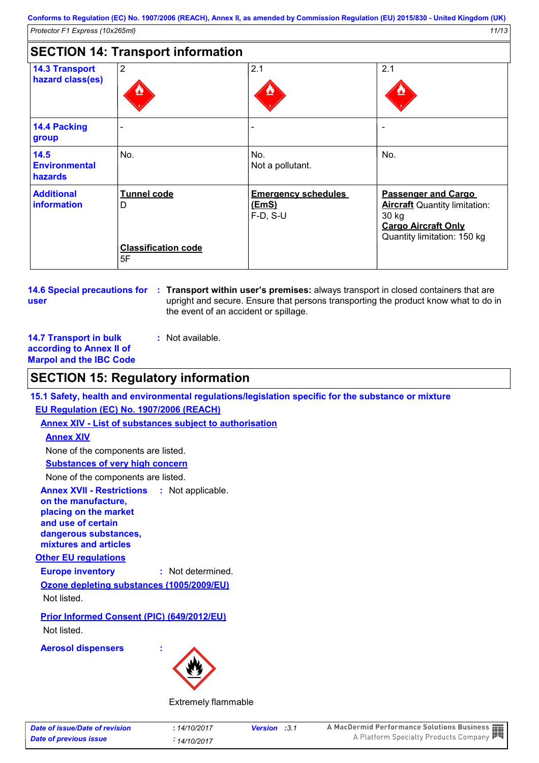| <b>SECTION 14: Transport information</b>       |                                                      |                                                 |                                                                                                                                          |
|------------------------------------------------|------------------------------------------------------|-------------------------------------------------|------------------------------------------------------------------------------------------------------------------------------------------|
| <b>14.3 Transport</b><br>hazard class(es)      | $\overline{2}$                                       | 2.1                                             | 2.1                                                                                                                                      |
| 14.4 Packing<br>group                          |                                                      |                                                 |                                                                                                                                          |
| 14.5<br><b>Environmental</b><br><b>hazards</b> | No.                                                  | No.<br>Not a pollutant.                         | No.                                                                                                                                      |
| <b>Additional</b><br>information               | Tunnel code<br>D<br><b>Classification code</b><br>5F | <b>Emergency schedules</b><br>(EmS)<br>F-D, S-U | <b>Passenger and Cargo</b><br><b>Aircraft</b> Quantity limitation:<br>30 kg<br><b>Cargo Aircraft Only</b><br>Quantity limitation: 150 kg |

```
user
```
**14.6 Special precautions for : Transport within user's premises: always transport in closed containers that are** upright and secure. Ensure that persons transporting the product know what to do in the event of an accident or spillage.

**14.7 Transport in bulk according to Annex II of Marpol and the IBC Code** : Not available.

### **SECTION 15: Regulatory information**

**15.1 Safety, health and environmental regulations/legislation specific for the substance or mixture EU Regulation (EC) No. 1907/2006 (REACH)**

**Annex XIV - List of substances subject to authorisation**

### **Annex XIV**

None of the components are listed.

### **Substances of very high concern**

None of the components are listed.

**Annex XVII - Restrictions : Not applicable. on the manufacture, placing on the market and use of certain dangerous substances, mixtures and articles**

### **Other EU regulations**

**Europe inventory :** Not determined.

**Ozone depleting substances (1005/2009/EU)**

Not listed.

### **Prior Informed Consent (PIC) (649/2012/EU)**

Not listed.

**Aerosol dispensers :**



Extremely flammable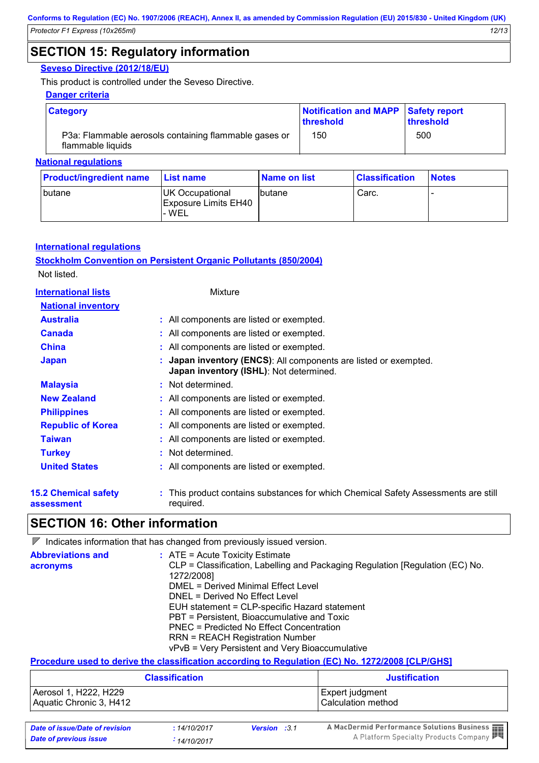# **SECTION 15: Regulatory information**

### **Seveso Directive (2012/18/EU)**

This product is controlled under the Seveso Directive.

### **Danger criteria**

| <b>Category</b>                                                            | Notification and MAPP Safety report<br><b>Ithreshold</b> | threshold |
|----------------------------------------------------------------------------|----------------------------------------------------------|-----------|
| P3a: Flammable aerosols containing flammable gases or<br>flammable liquids | 150                                                      | 500       |

#### **National regulations**

| <b>Product/ingredient name</b> | <b>List name</b>                                         | <b>Name on list</b> | <b>Classification</b> | <b>Notes</b> |
|--------------------------------|----------------------------------------------------------|---------------------|-----------------------|--------------|
| <b>butane</b>                  | UK Occupational<br><b>Exposure Limits EH40</b><br>'- WEL | <b>Ibutane</b>      | Carc.                 |              |

#### **International regulations**

### **Stockholm Convention on Persistent Organic Pollutants (850/2004)** Not listed.

| <b>International lists</b>                | Mixture                                                                                                     |
|-------------------------------------------|-------------------------------------------------------------------------------------------------------------|
| <b>National inventory</b>                 |                                                                                                             |
| <b>Australia</b>                          | : All components are listed or exempted.                                                                    |
| <b>Canada</b>                             | : All components are listed or exempted.                                                                    |
| <b>China</b>                              | : All components are listed or exempted.                                                                    |
| <b>Japan</b>                              | : Japan inventory (ENCS): All components are listed or exempted.<br>Japan inventory (ISHL): Not determined. |
| <b>Malaysia</b>                           | : Not determined.                                                                                           |
| <b>New Zealand</b>                        | : All components are listed or exempted.                                                                    |
| <b>Philippines</b>                        | : All components are listed or exempted.                                                                    |
| <b>Republic of Korea</b>                  | : All components are listed or exempted.                                                                    |
| <b>Taiwan</b>                             | : All components are listed or exempted.                                                                    |
| <b>Turkey</b>                             | : Not determined.                                                                                           |
| <b>United States</b>                      | : All components are listed or exempted.                                                                    |
| <b>15.2 Chemical safety</b><br>assessment | : This product contains substances for which Chemical Safety Assessments are still<br>required.             |

# **SECTION 16: Other information**

 $\nabla$  Indicates information that has changed from previously issued version.

| <b>Abbreviations and</b><br>acronyms | $\therefore$ ATE = Acute Toxicity Estimate<br>CLP = Classification, Labelling and Packaging Regulation [Regulation (EC) No.<br>1272/2008] |
|--------------------------------------|-------------------------------------------------------------------------------------------------------------------------------------------|
|                                      | DMEL = Derived Minimal Effect Level                                                                                                       |
|                                      | DNEL = Derived No Effect Level                                                                                                            |
|                                      | EUH statement = CLP-specific Hazard statement                                                                                             |
|                                      | PBT = Persistent, Bioaccumulative and Toxic                                                                                               |
|                                      | PNEC = Predicted No Effect Concentration                                                                                                  |
|                                      | <b>RRN = REACH Registration Number</b>                                                                                                    |
|                                      | vPvB = Very Persistent and Very Bioaccumulative                                                                                           |

### **Procedure used to derive the classification according to Regulation (EC) No. 1272/2008 [CLP/GHS]**

| <b>Classification</b>   | <b>Justification</b> |  |
|-------------------------|----------------------|--|
| Aerosol 1, H222, H229   | Expert judgment      |  |
| Aquatic Chronic 3, H412 | Calculation method   |  |

*Date of issue/Date of revision* **:** *14/10/2017 Date of previous issue : 14/10/2017*

*Version :3.1*

A MacDermid Performance Solutions Business **Solutions Business A Platform Specialty Products Company Platform Specialty Products Company Platform**